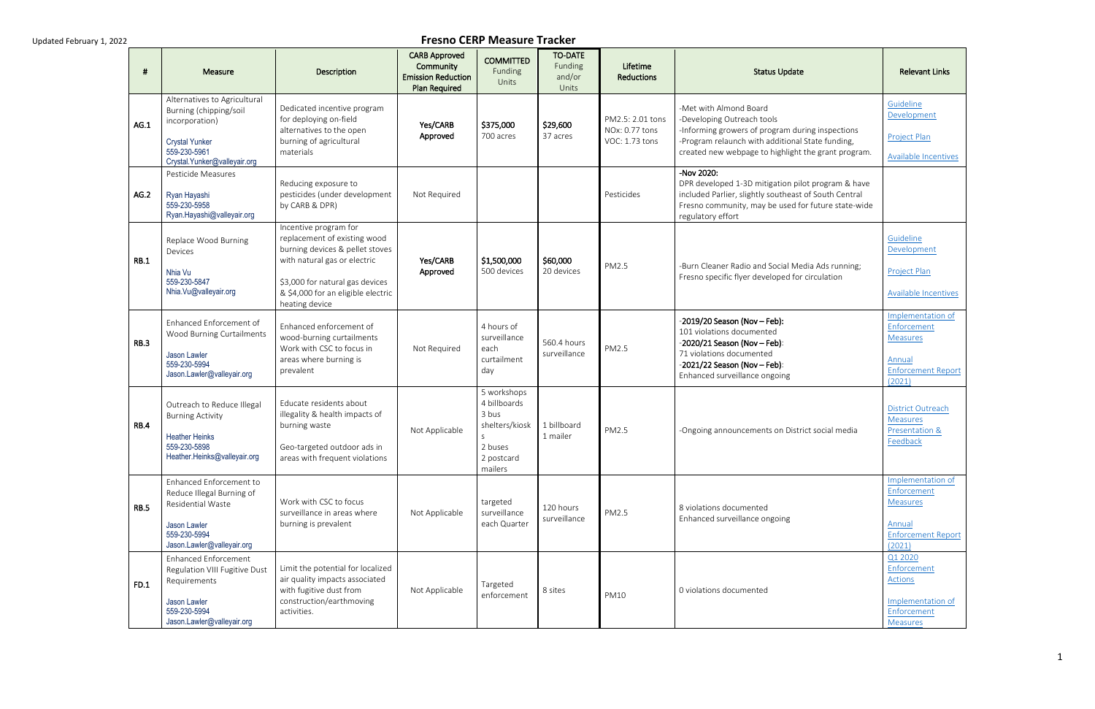| #           | Measure                                                                                                                                           | Description                                                                                                                                                                                                         | <b>CARB Approved</b><br>Community<br><b>Emission Reduction</b><br><b>Plan Required</b> | <b>COMMITTED</b><br>Funding<br>Units                                                            | <b>TO-DATE</b><br>Funding<br>and/or<br>Units | Lifetime<br><b>Reductions</b>                        | <b>Status Update</b>                                                                                                                                                                                                | <b>Relevant Links</b>                                                                                |
|-------------|---------------------------------------------------------------------------------------------------------------------------------------------------|---------------------------------------------------------------------------------------------------------------------------------------------------------------------------------------------------------------------|----------------------------------------------------------------------------------------|-------------------------------------------------------------------------------------------------|----------------------------------------------|------------------------------------------------------|---------------------------------------------------------------------------------------------------------------------------------------------------------------------------------------------------------------------|------------------------------------------------------------------------------------------------------|
| AG.1        | Alternatives to Agricultural<br>Burning (chipping/soil<br>incorporation)<br><b>Crystal Yunker</b><br>559-230-5961<br>Crystal.Yunker@valleyair.org | Dedicated incentive program<br>for deploying on-field<br>alternatives to the open<br>burning of agricultural<br>materials                                                                                           | Yes/CARB<br>Approved                                                                   | \$375,000<br>700 acres                                                                          | \$29,600<br>37 acres                         | PM2.5: 2.01 tons<br>NOx: 0.77 tons<br>VOC: 1.73 tons | -Met with Almond Board<br>-Developing Outreach tools<br>-Informing growers of program during inspections<br>-Program relaunch with additional State funding,<br>created new webpage to highlight the grant program. | Guideline<br>Development<br>Project Plan<br><b>Available Incentives</b>                              |
| AG.2        | Pesticide Measures<br>Ryan Hayashi<br>559-230-5958<br>Ryan.Hayashi@valleyair.org                                                                  | Reducing exposure to<br>pesticides (under development<br>by CARB & DPR)                                                                                                                                             | Not Required                                                                           |                                                                                                 |                                              | Pesticides                                           | -Nov 2020:<br>DPR developed 1-3D mitigation pilot program & have<br>included Parlier, slightly southeast of South Central<br>Fresno community, may be used for future state-wide<br>regulatory effort               |                                                                                                      |
| <b>RB.1</b> | Replace Wood Burning<br>Devices<br>Nhia Vu<br>559-230-5847<br>Nhia.Vu@valleyair.org                                                               | Incentive program for<br>replacement of existing wood<br>burning devices & pellet stoves<br>with natural gas or electric<br>\$3,000 for natural gas devices<br>& \$4,000 for an eligible electric<br>heating device | Yes/CARB<br>Approved                                                                   | \$1,500,000<br>500 devices                                                                      | \$60,000<br>20 devices                       | PM2.5                                                | -Burn Cleaner Radio and Social Media Ads running;<br>Fresno specific flyer developed for circulation                                                                                                                | Guideline<br>Development<br><b>Project Plan</b><br>Available Incentives                              |
| <b>RB.3</b> | Enhanced Enforcement of<br>Wood Burning Curtailments<br>Jason Lawler<br>559-230-5994<br>Jason.Lawler@valleyair.org                                | Enhanced enforcement of<br>wood-burning curtailments<br>Work with CSC to focus in<br>areas where burning is<br>prevalent                                                                                            | Not Required                                                                           | 4 hours of<br>surveillance<br>each<br>curtailment<br>day                                        | 560.4 hours<br>surveillance                  | PM2.5                                                | $-2019/20$ Season (Nov - Feb):<br>101 violations documented<br>$-2020/21$ Season (Nov - Feb):<br>71 violations documented<br>$-2021/22$ Season (Nov - Feb):<br>Enhanced surveillance ongoing                        | Implementation of<br>Enforcement<br><b>Measures</b><br>Annual<br><b>Enforcement Report</b><br>(2021) |
| <b>RB.4</b> | Outreach to Reduce Illegal<br><b>Burning Activity</b><br><b>Heather Heinks</b><br>559-230-5898<br>Heather.Heinks@valleyair.org                    | Educate residents about<br>illegality & health impacts of<br>burning waste<br>Geo-targeted outdoor ads in<br>areas with frequent violations                                                                         | Not Applicable                                                                         | 5 workshops<br>4 billboards<br>3 bus<br>shelters/kiosk<br>S<br>2 buses<br>2 postcard<br>mailers | 1 billboard<br>1 mailer                      | PM2.5                                                | -Ongoing announcements on District social media                                                                                                                                                                     | <b>District Outreach</b><br>Measures<br><b>Presentation &amp;</b><br>Feedback                        |
| <b>RB.5</b> | Enhanced Enforcement to<br>Reduce Illegal Burning of<br>Residential Waste<br>Jason Lawler<br>559-230-5994<br>Jason.Lawler@valleyair.org           | Work with CSC to focus<br>surveillance in areas where<br>burning is prevalent                                                                                                                                       | Not Applicable                                                                         | targeted<br>surveillance<br>each Quarter                                                        | 120 hours<br>surveillance                    | PM2.5                                                | 8 violations documented<br>Enhanced surveillance ongoing                                                                                                                                                            | Implementation of<br>Enforcement<br><b>Measures</b><br>Annual<br><b>Enforcement Report</b><br>(2021) |
| FD.1        | Enhanced Enforcement<br>Regulation VIII Fugitive Dust<br>Requirements<br>Jason Lawler<br>559-230-5994<br>Jason.Lawler@valleyair.org               | Limit the potential for localized<br>air quality impacts associated<br>with fugitive dust from<br>construction/earthmoving<br>activities.                                                                           | Not Applicable                                                                         | Targeted<br>enforcement                                                                         | 8 sites                                      | <b>PM10</b>                                          | 0 violations documented                                                                                                                                                                                             | Q1 2020<br>Enforcement<br>Actions<br>Implementation of<br>Enforcement<br><b>Measures</b>             |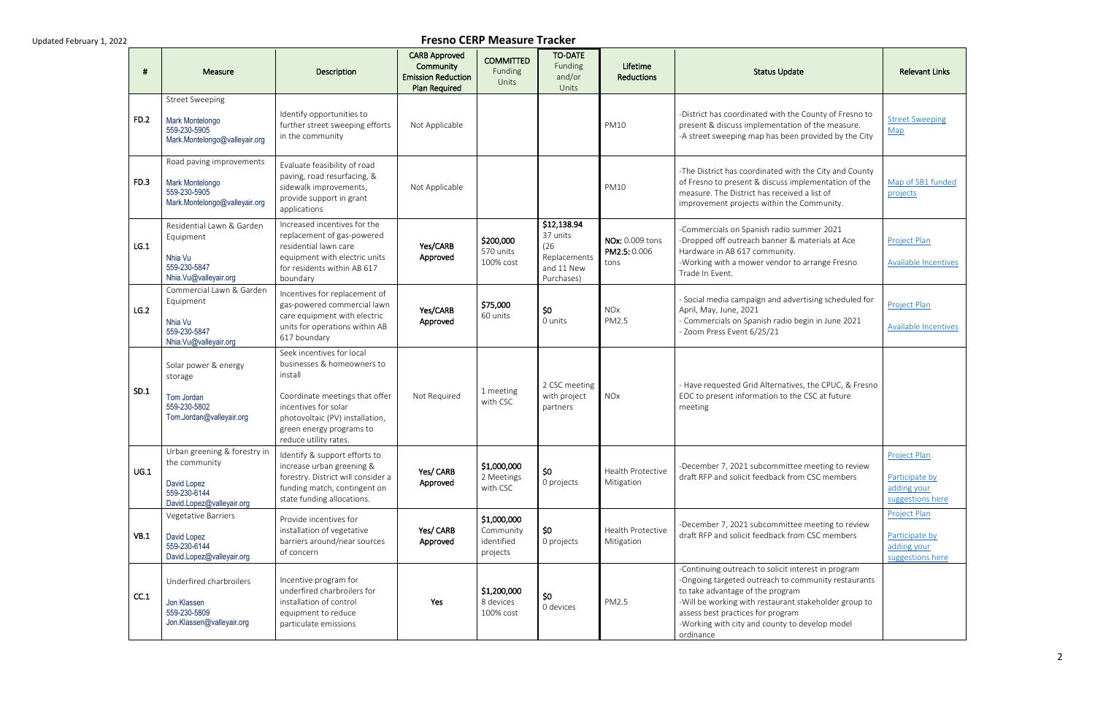| #           | Measure                                                                                                   | Description                                                                                                                                                                                                          | <b>CARB Approved</b><br>Community<br><b>Emission Reduction</b><br><b>Plan Required</b> | <b>COMMITTED</b><br>Funding<br>Units               | <b>TO-DATE</b><br>Funding<br>and/or<br>Units                                | Lifetime<br><b>Reductions</b>           | <b>Status Update</b>                                                                                                                                                                                                                                                                                        | <b>Relevant Links</b>                                             |
|-------------|-----------------------------------------------------------------------------------------------------------|----------------------------------------------------------------------------------------------------------------------------------------------------------------------------------------------------------------------|----------------------------------------------------------------------------------------|----------------------------------------------------|-----------------------------------------------------------------------------|-----------------------------------------|-------------------------------------------------------------------------------------------------------------------------------------------------------------------------------------------------------------------------------------------------------------------------------------------------------------|-------------------------------------------------------------------|
| <b>FD.2</b> | <b>Street Sweeping</b><br>Mark Montelongo<br>559-230-5905<br>Mark.Montelongo@valleyair.org                | Identify opportunities to<br>further street sweeping efforts<br>in the community                                                                                                                                     | Not Applicable                                                                         |                                                    |                                                                             | <b>PM10</b>                             | -District has coordinated with the County of Fresno to<br>present & discuss implementation of the measure.<br>-A street sweeping map has been provided by the City                                                                                                                                          | <b>Street Sweeping</b><br>Map                                     |
| FD.3        | Road paving improvements<br>Mark Montelongo<br>559-230-5905<br>Mark.Montelongo@valleyair.org              | Evaluate feasibility of road<br>paving, road resurfacing, &<br>sidewalk improvements,<br>provide support in grant<br>applications                                                                                    | Not Applicable                                                                         |                                                    |                                                                             | <b>PM10</b>                             | -The District has coordinated with the City and County<br>of Fresno to present & discuss implementation of the<br>measure. The District has received a list of<br>improvement projects within the Community.                                                                                                | Map of SB1 funded<br>projects                                     |
| LG.1        | Residential Lawn & Garden<br>Equipment<br>Nhia Vu<br>559-230-5847<br>Nhia.Vu@valleyair.org                | Increased incentives for the<br>replacement of gas-powered<br>residential lawn care<br>equipment with electric units<br>for residents within AB 617<br>boundary                                                      | Yes/CARB<br>Approved                                                                   | \$200,000<br>570 units<br>100% cost                | \$12,138.94<br>37 units<br>(26)<br>Replacements<br>and 11 New<br>Purchases) | NOx: 0.009 tons<br>PM2.5: 0.006<br>tons | -Commercials on Spanish radio summer 2021<br>-Dropped off outreach banner & materials at Ace<br>Hardware in AB 617 community.<br>-Working with a mower vendor to arrange Fresno<br>Trade In Event.                                                                                                          | Project Plan<br>Available Incentives                              |
| LG.2        | Commercial Lawn & Garden<br>Equipment<br>Nhia Vu<br>559-230-5847<br>Nhia.Vu@valleyair.org                 | Incentives for replacement of<br>gas-powered commercial lawn<br>care equipment with electric<br>units for operations within AB<br>617 boundary                                                                       | Yes/CARB<br>Approved                                                                   | \$75,000<br>60 units                               | \$0<br>0 units                                                              | <b>NOx</b><br>PM2.5                     | - Social media campaign and advertising scheduled for<br>April, May, June, 2021<br>- Commercials on Spanish radio begin in June 2021<br>- Zoom Press Event 6/25/21                                                                                                                                          | Project Plan<br>Available Incentives                              |
| SD.1        | Solar power & energy<br>storage<br>Tom Jordan<br>559-230-5802<br>Tom.Jordan@valleyair.org                 | Seek incentives for local<br>businesses & homeowners to<br>install<br>Coordinate meetings that offer<br>incentives for solar<br>photovoltaic (PV) installation,<br>green energy programs to<br>reduce utility rates. | Not Required                                                                           | 1 meeting<br>with CSC                              | 2 CSC meeting<br>with project<br>partners                                   | <b>NOx</b>                              | - Have requested Grid Alternatives, the CPUC, & Fresno<br>EOC to present information to the CSC at future<br>meeting                                                                                                                                                                                        |                                                                   |
| UG.1        | Urban greening & forestry in<br>the community<br>David Lopez<br>559-230-6144<br>David.Lopez@valleyair.org | Identify & support efforts to<br>increase urban greening &<br>forestry. District will consider a<br>funding match, contingent on<br>state funding allocations.                                                       | Yes/ CARB<br>Approved                                                                  | \$1,000,000<br>2 Meetings<br>with CSC              | \$0<br>0 projects                                                           | Health Protective<br>Mitigation         | -December 7, 2021 subcommittee meeting to review<br>draft RFP and solicit feedback from CSC members                                                                                                                                                                                                         | Project Plan<br>Participate by<br>adding your<br>suggestions here |
| VB.1        | Vegetative Barriers<br>David Lopez<br>559-230-6144<br>David.Lopez@valleyair.org                           | Provide incentives for<br>installation of vegetative<br>barriers around/near sources<br>of concern                                                                                                                   | Yes/ CARB<br>Approved                                                                  | \$1,000,000<br>Community<br>identified<br>projects | \$0<br>0 projects                                                           | Health Protective<br>Mitigation         | -December 7, 2021 subcommittee meeting to review<br>draft RFP and solicit feedback from CSC members                                                                                                                                                                                                         | Project Plan<br>Participate by<br>adding your<br>suggestions here |
| CC.1        | Underfired charbroilers<br>Jon Klassen<br>559-230-5809<br>Jon.Klassen@valleyair.org                       | Incentive program for<br>underfired charbroilers for<br>installation of control<br>equipment to reduce<br>particulate emissions                                                                                      | Yes                                                                                    | \$1,200,000<br>8 devices<br>100% cost              | \$0<br>0 devices                                                            | PM2.5                                   | -Continuing outreach to solicit interest in program<br>-Ongoing targeted outreach to community restaurants<br>to take advantage of the program<br>-Will be working with restaurant stakeholder group to<br>assess best practices for program<br>-Working with city and county to develop model<br>ordinance |                                                                   |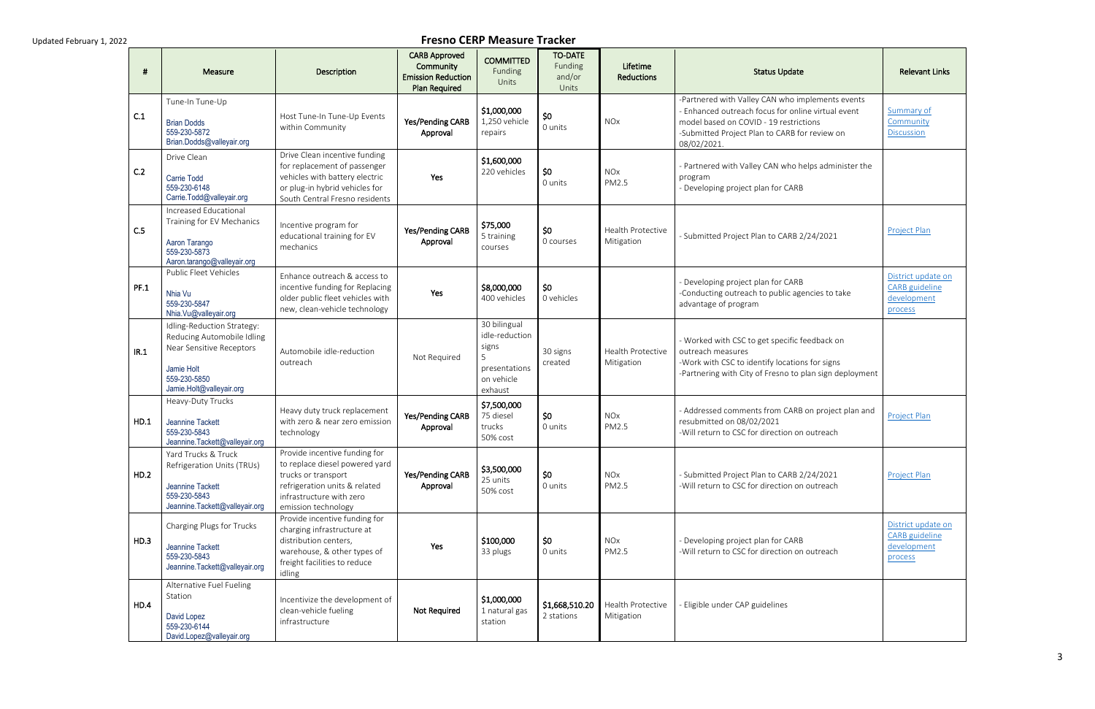| - 44        | Measure                                                                                                                                        | Description                                                                                                                                                                | <b>CARB Approved</b><br>Community<br><b>Emission Reduction</b><br><b>Plan Required</b> | <b>COMMITTED</b><br>Funding<br>Units                                                   | <b>TO-DATE</b><br>Funding<br>and/or<br>Units | Lifetime<br><b>Reductions</b>   | <b>Status Update</b>                                                                                                                                                                                             | <b>Relevant Links</b>                                                 |
|-------------|------------------------------------------------------------------------------------------------------------------------------------------------|----------------------------------------------------------------------------------------------------------------------------------------------------------------------------|----------------------------------------------------------------------------------------|----------------------------------------------------------------------------------------|----------------------------------------------|---------------------------------|------------------------------------------------------------------------------------------------------------------------------------------------------------------------------------------------------------------|-----------------------------------------------------------------------|
| C.1         | Tune-In Tune-Up<br><b>Brian Dodds</b><br>559-230-5872<br>Brian.Dodds@valleyair.org                                                             | Host Tune-In Tune-Up Events<br>within Community                                                                                                                            | Yes/Pending CARB<br>Approval                                                           | \$1,000,000<br>1,250 vehicle<br>repairs                                                | \$0<br>0 units                               | <b>NO<sub>x</sub></b>           | -Partnered with Valley CAN who implements events<br>- Enhanced outreach focus for online virtual event<br>model based on COVID - 19 restrictions<br>-Submitted Project Plan to CARB for review on<br>08/02/2021. | Summary of<br>Community<br><b>Discussion</b>                          |
| C.2         | Drive Clean<br><b>Carrie Todd</b><br>559-230-6148<br>Carrie.Todd@valleyair.org                                                                 | Drive Clean incentive funding<br>for replacement of passenger<br>vehicles with battery electric<br>or plug-in hybrid vehicles for<br>South Central Fresno residents        | Yes                                                                                    | \$1,600,000<br>220 vehicles                                                            | \$0<br>0 units                               | <b>NO<sub>x</sub></b><br>PM2.5  | - Partnered with Valley CAN who helps administer the<br>program<br>- Developing project plan for CARB                                                                                                            |                                                                       |
| C.5         | Increased Educational<br>Training for EV Mechanics<br>Aaron Tarango<br>559-230-5873<br>Aaron.tarango@valleyair.org                             | Incentive program for<br>educational training for EV<br>mechanics                                                                                                          | Yes/Pending CARB<br>Approval                                                           | \$75,000<br>5 training<br>courses                                                      | \$0<br>0 courses                             | Health Protective<br>Mitigation | - Submitted Project Plan to CARB 2/24/2021                                                                                                                                                                       | <b>Project Plan</b>                                                   |
| <b>PF.1</b> | Public Fleet Vehicles<br>Nhia Vu<br>559-230-5847<br>Nhia.Vu@valleyair.org                                                                      | Enhance outreach & access to<br>incentive funding for Replacing<br>older public fleet vehicles with<br>new, clean-vehicle technology                                       | Yes                                                                                    | \$8,000,000<br>400 vehicles                                                            | \$0<br>0 vehicles                            |                                 | - Developing project plan for CARB<br>-Conducting outreach to public agencies to take<br>advantage of program                                                                                                    | District update on<br><b>CARB</b> guideline<br>development<br>process |
| IR.1        | Idling-Reduction Strategy:<br>Reducing Automobile Idling<br>Near Sensitive Receptors<br>Jamie Holt<br>559-230-5850<br>Jamie.Holt@valleyair.org | Automobile idle-reduction<br>outreach                                                                                                                                      | Not Required                                                                           | 30 bilingual<br>idle-reduction<br>signs<br>5<br>presentations<br>on vehicle<br>exhaust | 30 signs<br>created                          | Health Protective<br>Mitigation | - Worked with CSC to get specific feedback on<br>outreach measures<br>-Work with CSC to identify locations for signs<br>-Partnering with City of Fresno to plan sign deployment                                  |                                                                       |
| HD.1        | Heavy-Duty Trucks<br>Jeannine Tackett<br>559-230-5843<br>Jeannine.Tackett@valleyair.org                                                        | Heavy duty truck replacement<br>with zero & near zero emission<br>technology                                                                                               | Yes/Pending CARB<br>Approval                                                           | \$7,500,000<br>75 diesel<br>trucks<br>50% cost                                         | \$0<br>0 units                               | <b>NOx</b><br>PM2.5             | - Addressed comments from CARB on project plan and<br>resubmitted on 08/02/2021<br>-Will return to CSC for direction on outreach                                                                                 | Project Plan                                                          |
| HD.2        | Yard Trucks & Truck<br>Refrigeration Units (TRUs)<br>Jeannine Tackett<br>559-230-5843<br>Jeannine.Tackett@valleyair.org                        | Provide incentive funding for<br>to replace diesel powered yard<br>trucks or transport<br>refrigeration units & related<br>infrastructure with zero<br>emission technology | Yes/Pending CARB<br>Approval                                                           | \$3,500,000<br>25 units<br>50% cost                                                    | \$0<br>0 units                               | <b>NOx</b><br>PM2.5             | - Submitted Project Plan to CARB 2/24/2021<br>-Will return to CSC for direction on outreach                                                                                                                      | Project Plan                                                          |
| HD.3        | Charging Plugs for Trucks<br>Jeannine Tackett<br>559-230-5843<br>Jeannine.Tackett@valleyair.org                                                | Provide incentive funding for<br>charging infrastructure at<br>distribution centers,<br>warehouse, & other types of<br>freight facilities to reduce<br>idling              | Yes                                                                                    | \$100,000<br>33 plugs                                                                  | \$0<br>0 units                               | <b>NOx</b><br>PM2.5             | - Developing project plan for CARB<br>-Will return to CSC for direction on outreach                                                                                                                              | District update on<br><b>CARB</b> guideline<br>development<br>process |
| HD.4        | Alternative Fuel Fueling<br>Station<br>David Lopez<br>559-230-6144<br>David.Lopez@valleyair.org                                                | Incentivize the development of<br>clean-vehicle fueling<br>infrastructure                                                                                                  | Not Required                                                                           | \$1,000,000<br>1 natural gas<br>station                                                | \$1,668,510.20<br>2 stations                 | Health Protective<br>Mitigation | - Eligible under CAP guidelines                                                                                                                                                                                  |                                                                       |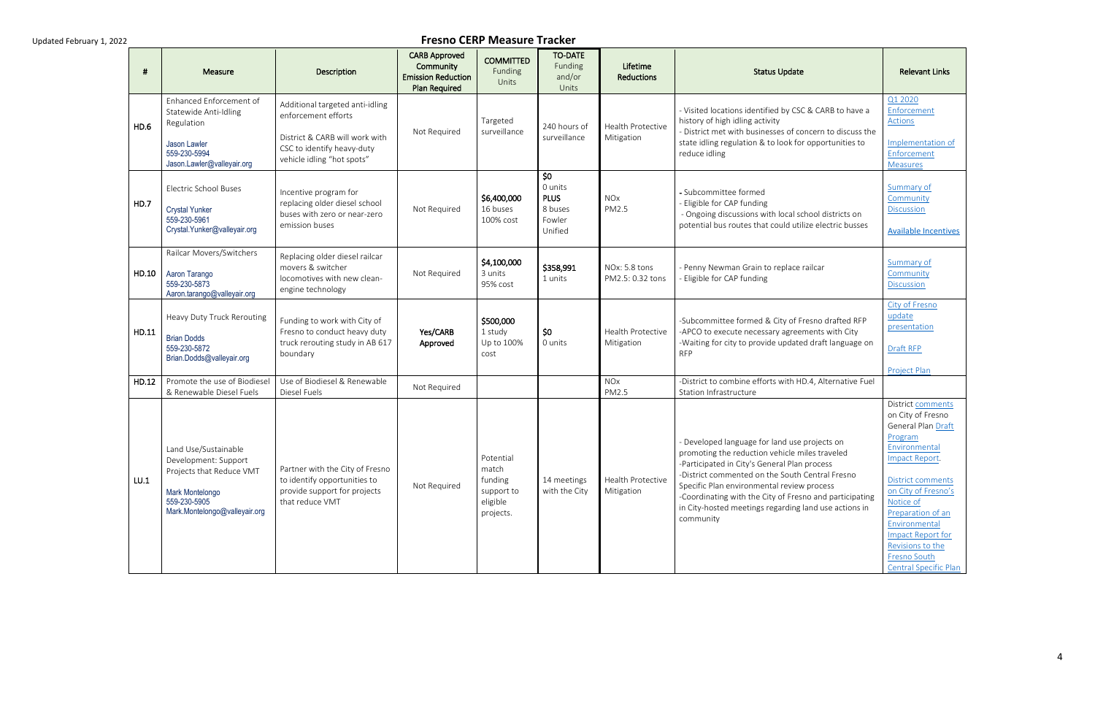| #     | Measure                                                                                                                                      | <b>Description</b>                                                                                                                                   | <b>CARB Approved</b><br>Community<br><b>Emission Reduction</b><br><b>Plan Required</b> | <b>COMMITTED</b><br>Funding<br>Units                                 | <b>TO-DATE</b><br>Funding<br>and/or<br>Units                  | Lifetime<br><b>Reductions</b>     | <b>Status Update</b>                                                                                                                                                                                                                                                                                                                                                              | <b>Relevant Links</b>                                                                                                                                                                                                                                                                              |
|-------|----------------------------------------------------------------------------------------------------------------------------------------------|------------------------------------------------------------------------------------------------------------------------------------------------------|----------------------------------------------------------------------------------------|----------------------------------------------------------------------|---------------------------------------------------------------|-----------------------------------|-----------------------------------------------------------------------------------------------------------------------------------------------------------------------------------------------------------------------------------------------------------------------------------------------------------------------------------------------------------------------------------|----------------------------------------------------------------------------------------------------------------------------------------------------------------------------------------------------------------------------------------------------------------------------------------------------|
| HD.6  | Enhanced Enforcement of<br>Statewide Anti-Idling<br>Regulation<br><b>Jason Lawler</b><br>559-230-5994<br>Jason.Lawler@valleyair.org          | Additional targeted anti-idling<br>enforcement efforts<br>District & CARB will work with<br>CSC to identify heavy-duty<br>vehicle idling "hot spots" | Not Required                                                                           | Targeted<br>surveillance                                             | 240 hours of<br>surveillance                                  | Health Protective<br>Mitigation   | - Visited locations identified by CSC & CARB to have a<br>history of high idling activity<br>- District met with businesses of concern to discuss the<br>state idling regulation & to look for opportunities to<br>reduce idling                                                                                                                                                  | Q1 2020<br>Enforcement<br><b>Actions</b><br>Implementation of<br>Enforcement<br><b>Measures</b>                                                                                                                                                                                                    |
| HD.7  | <b>Electric School Buses</b><br><b>Crystal Yunker</b><br>559-230-5961<br>Crystal.Yunker@valleyair.org                                        | Incentive program for<br>replacing older diesel school<br>buses with zero or near-zero<br>emission buses                                             | Not Required                                                                           | \$6,400,000<br>16 buses<br>100% cost                                 | \$0<br>0 units<br><b>PLUS</b><br>8 buses<br>Fowler<br>Unified | <b>NOx</b><br>PM2.5               | - Subcommittee formed<br>- Eligible for CAP funding<br>- Ongoing discussions with local school districts on<br>potential bus routes that could utilize electric busses                                                                                                                                                                                                            | Summary of<br>Community<br><b>Discussion</b><br><b>Available Incentives</b>                                                                                                                                                                                                                        |
| HD.10 | Railcar Movers/Switchers<br>Aaron Tarango<br>559-230-5873<br>Aaron.tarango@valleyair.org                                                     | Replacing older diesel railcar<br>movers & switcher<br>locomotives with new clean-<br>engine technology                                              | Not Required                                                                           | \$4,100,000<br>3 units<br>95% cost                                   | \$358,991<br>1 units                                          | NOx: 5.8 tons<br>PM2.5: 0.32 tons | - Penny Newman Grain to replace railcar<br>- Eligible for CAP funding                                                                                                                                                                                                                                                                                                             | Summary of<br>Community<br><b>Discussion</b>                                                                                                                                                                                                                                                       |
| HD.11 | Heavy Duty Truck Rerouting<br><b>Brian Dodds</b><br>559-230-5872<br>Brian.Dodds@valleyair.org                                                | Funding to work with City of<br>Fresno to conduct heavy duty<br>truck rerouting study in AB 617<br>boundary                                          | Yes/CARB<br>Approved                                                                   | \$500,000<br>1 study<br>Up to 100%<br>cost                           | \$0<br>0 units                                                | Health Protective<br>Mitigation   | -Subcommittee formed & City of Fresno drafted RFP<br>-APCO to execute necessary agreements with City<br>-Waiting for city to provide updated draft language on<br><b>RFP</b>                                                                                                                                                                                                      | City of Fresno<br>update<br>presentation<br>Draft RFP<br><b>Project Plan</b>                                                                                                                                                                                                                       |
| HD.12 | Promote the use of Biodiesel<br>& Renewable Diesel Fuels                                                                                     | Use of Biodiesel & Renewable<br>Diesel Fuels                                                                                                         | Not Required                                                                           |                                                                      |                                                               | <b>NOx</b><br>PM2.5               | -District to combine efforts with HD.4, Alternative Fuel<br>Station Infrastructure                                                                                                                                                                                                                                                                                                |                                                                                                                                                                                                                                                                                                    |
| LU.1  | Land Use/Sustainable<br>Development: Support<br>Projects that Reduce VMT<br>Mark Montelongo<br>559-230-5905<br>Mark.Montelongo@valleyair.org | Partner with the City of Fresno<br>to identify opportunities to<br>provide support for projects<br>that reduce VMT                                   | Not Required                                                                           | Potential<br>match<br>funding<br>support to<br>eligible<br>projects. | 14 meetings<br>with the City                                  | Health Protective<br>Mitigation   | - Developed language for land use projects on<br>promoting the reduction vehicle miles traveled<br>-Participated in City's General Plan process<br>-District commented on the South Central Fresno<br>Specific Plan environmental review process<br>-Coordinating with the City of Fresno and participating<br>in City-hosted meetings regarding land use actions in<br>community | District comments<br>on City of Fresno<br>General Plan Draft<br>Program<br>Environmental<br>Impact Report.<br>District comments<br>on City of Fresno's<br>Notice of<br>Preparation of an<br>Environmental<br><b>Impact Report for</b><br>Revisions to the<br>Fresno South<br>Central Specific Plan |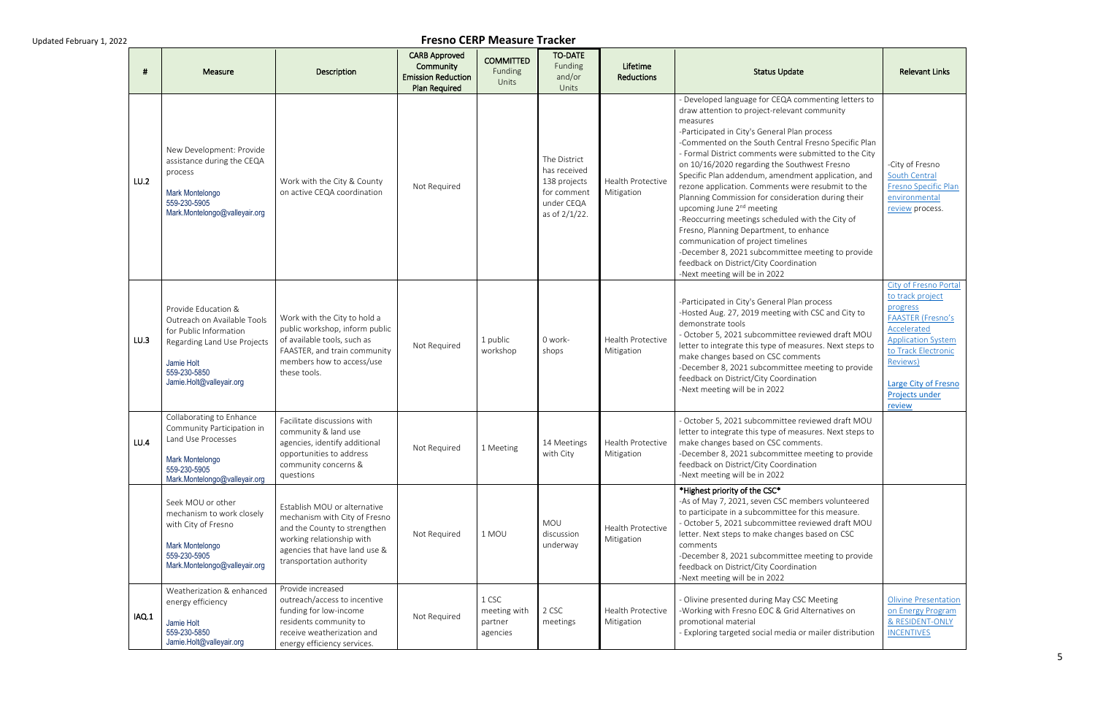| -#    | Measure                                                                                                                                                               | <b>Description</b>                                                                                                                                                                      | <b>CARB Approved</b><br>Community<br><b>Emission Reduction</b><br>Plan Required | <b>COMMITTED</b><br>Funding<br>Units         | <b>TO-DATE</b><br>Funding<br>and/or<br>Units                                               | Lifetime<br><b>Reductions</b>          | <b>Status Update</b>                                                                                                                                                                                                                                                                                                                                                                                                                                                                                                                                                                                                                                                                                                                                                                                            | <b>Relevant Links</b>                                                                                                                                                                                                |
|-------|-----------------------------------------------------------------------------------------------------------------------------------------------------------------------|-----------------------------------------------------------------------------------------------------------------------------------------------------------------------------------------|---------------------------------------------------------------------------------|----------------------------------------------|--------------------------------------------------------------------------------------------|----------------------------------------|-----------------------------------------------------------------------------------------------------------------------------------------------------------------------------------------------------------------------------------------------------------------------------------------------------------------------------------------------------------------------------------------------------------------------------------------------------------------------------------------------------------------------------------------------------------------------------------------------------------------------------------------------------------------------------------------------------------------------------------------------------------------------------------------------------------------|----------------------------------------------------------------------------------------------------------------------------------------------------------------------------------------------------------------------|
| LU.2  | New Development: Provide<br>assistance during the CEQA<br>process<br>Mark Montelongo<br>559-230-5905<br>Mark.Montelongo@valleyair.org                                 | Work with the City & County<br>on active CEQA coordination                                                                                                                              | Not Required                                                                    |                                              | The District<br>has received<br>138 projects<br>for comment<br>under CEQA<br>as of 2/1/22. | Health Protective<br>Mitigation        | - Developed language for CEQA commenting letters to<br>draw attention to project-relevant community<br>measures<br>-Participated in City's General Plan process<br>-Commented on the South Central Fresno Specific Plan<br>- Formal District comments were submitted to the City<br>on 10/16/2020 regarding the Southwest Fresno<br>Specific Plan addendum, amendment application, and<br>rezone application. Comments were resubmit to the<br>Planning Commission for consideration during their<br>upcoming June 2 <sup>nd</sup> meeting<br>-Reoccurring meetings scheduled with the City of<br>Fresno, Planning Department, to enhance<br>communication of project timelines<br>-December 8, 2021 subcommittee meeting to provide<br>feedback on District/City Coordination<br>-Next meeting will be in 2022 | -City of Fresno<br>South Central<br>Fresno Specific Plan<br>environmental<br>review process.                                                                                                                         |
| LU.3  | Provide Education &<br>Outreach on Available Tools<br>for Public Information<br>Regarding Land Use Projects<br>Jamie Holt<br>559-230-5850<br>Jamie.Holt@valleyair.org | Work with the City to hold a<br>public workshop, inform public<br>of available tools, such as<br>FAASTER, and train community<br>members how to access/use<br>these tools.              | Not Required                                                                    | 1 public<br>workshop                         | 0 work-<br>shops                                                                           | <b>Health Protective</b><br>Mitigation | -Participated in City's General Plan process<br>-Hosted Aug. 27, 2019 meeting with CSC and City to<br>demonstrate tools<br>- October 5, 2021 subcommittee reviewed draft MOU<br>letter to integrate this type of measures. Next steps to<br>make changes based on CSC comments<br>-December 8, 2021 subcommittee meeting to provide<br>feedback on District/City Coordination<br>-Next meeting will be in 2022                                                                                                                                                                                                                                                                                                                                                                                                  | City of Fresno Portal<br>to track project<br>progress<br><b>FAASTER (Fresno's</b><br>Accelerated<br><b>Application System</b><br>to Track Electronic<br>Reviews)<br>Large City of Fresno<br>Projects under<br>review |
| LU.4  | Collaborating to Enhance<br>Community Participation in<br>Land Use Processes<br>Mark Montelongo<br>559-230-5905<br>Mark.Montelongo@valleyair.org                      | Facilitate discussions with<br>community & land use<br>agencies, identify additional<br>opportunities to address<br>community concerns &<br>questions                                   | Not Required                                                                    | 1 Meeting                                    | 14 Meetings<br>with City                                                                   | Health Protective<br>Mitigation        | - October 5, 2021 subcommittee reviewed draft MOU<br>letter to integrate this type of measures. Next steps to<br>make changes based on CSC comments.<br>-December 8, 2021 subcommittee meeting to provide<br>feedback on District/City Coordination<br>-Next meeting will be in 2022                                                                                                                                                                                                                                                                                                                                                                                                                                                                                                                            |                                                                                                                                                                                                                      |
|       | Seek MOU or other<br>mechanism to work closely<br>with City of Fresno<br>Mark Montelongo<br>559-230-5905<br>Mark.Montelongo@valleyair.org                             | Establish MOU or alternative<br>mechanism with City of Fresno<br>and the County to strengthen<br>working relationship with<br>agencies that have land use &<br>transportation authority | Not Required                                                                    | 1 MOU                                        | MOU<br>discussion<br>underway                                                              | Health Protective<br>Mitigation        | *Highest priority of the CSC*<br>-As of May 7, 2021, seven CSC members volunteered<br>to participate in a subcommittee for this measure.<br>- October 5, 2021 subcommittee reviewed draft MOU<br>letter. Next steps to make changes based on CSC<br>comments<br>-December 8, 2021 subcommittee meeting to provide<br>feedback on District/City Coordination<br>-Next meeting will be in 2022                                                                                                                                                                                                                                                                                                                                                                                                                    |                                                                                                                                                                                                                      |
| IAQ.1 | Weatherization & enhanced<br>energy efficiency<br>Jamie Holt<br>559-230-5850<br>Jamie.Holt@valleyair.org                                                              | Provide increased<br>outreach/access to incentive<br>funding for low-income<br>residents community to<br>receive weatherization and<br>energy efficiency services.                      | Not Required                                                                    | 1 CSC<br>meeting with<br>partner<br>agencies | 2 CSC<br>meetings                                                                          | Health Protective<br>Mitigation        | - Olivine presented during May CSC Meeting<br>-Working with Fresno EOC & Grid Alternatives on<br>promotional material<br>- Exploring targeted social media or mailer distribution                                                                                                                                                                                                                                                                                                                                                                                                                                                                                                                                                                                                                               | <b>Olivine Presentation</b><br>on Energy Program<br>& RESIDENT-ONLY<br><b>INCENTIVES</b>                                                                                                                             |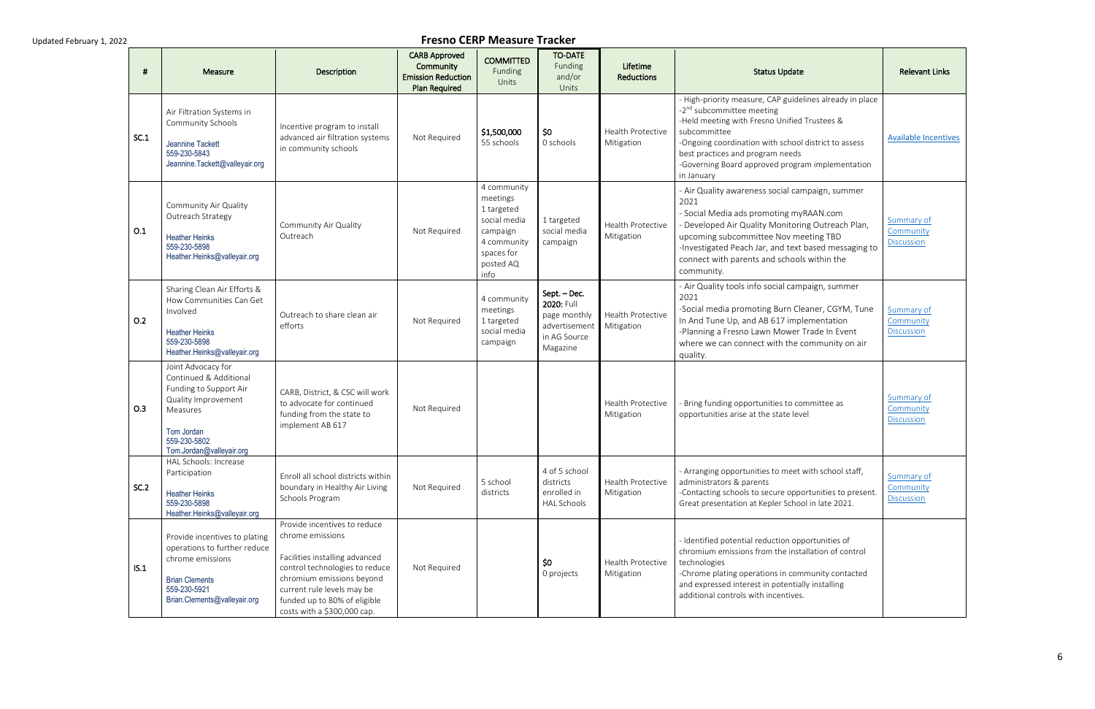|      | Measure                                                                                                                                                             | Description                                                                                                                                                                                                                                    | <b>CARB Approved</b><br>Community<br><b>Emission Reduction</b><br><b>Plan Required</b> | <b>COMMITTED</b><br>Funding<br>Units                                                                                | <b>TO-DATE</b><br>Funding<br>and/or<br>Units                                            | Lifetime<br><b>Reductions</b>          | <b>Status Update</b>                                                                                                                                                                                                                                                                                                            | <b>Relevant Links</b>                        |
|------|---------------------------------------------------------------------------------------------------------------------------------------------------------------------|------------------------------------------------------------------------------------------------------------------------------------------------------------------------------------------------------------------------------------------------|----------------------------------------------------------------------------------------|---------------------------------------------------------------------------------------------------------------------|-----------------------------------------------------------------------------------------|----------------------------------------|---------------------------------------------------------------------------------------------------------------------------------------------------------------------------------------------------------------------------------------------------------------------------------------------------------------------------------|----------------------------------------------|
| SC.1 | Air Filtration Systems in<br>Community Schools<br>Jeannine Tackett<br>559-230-5843<br>Jeannine.Tackett@valleyair.org                                                | Incentive program to install<br>advanced air filtration systems<br>in community schools                                                                                                                                                        | Not Required                                                                           | \$1,500,000<br>55 schools                                                                                           | \$0<br>0 schools                                                                        | Health Protective<br>Mitigation        | - High-priority measure, CAP guidelines already in place<br>-2 <sup>nd</sup> subcommittee meeting<br>-Held meeting with Fresno Unified Trustees &<br>subcommittee<br>-Ongoing coordination with school district to assess<br>best practices and program needs<br>-Governing Board approved program implementation<br>in January | <b>Available Incentives</b>                  |
| 0.1  | Community Air Quality<br>Outreach Strategy<br><b>Heather Heinks</b><br>559-230-5898<br>Heather.Heinks@valleyair.org                                                 | Community Air Quality<br>Outreach                                                                                                                                                                                                              | Not Required                                                                           | 4 community<br>meetings<br>1 targeted<br>social media<br>campaign<br>4 community<br>spaces for<br>posted AQ<br>info | 1 targeted<br>social media<br>campaign                                                  | <b>Health Protective</b><br>Mitigation | - Air Quality awareness social campaign, summer<br>2021<br>- Social Media ads promoting myRAAN.com<br>- Developed Air Quality Monitoring Outreach Plan,<br>upcoming subcommittee Nov meeting TBD<br>-Investigated Peach Jar, and text based messaging to<br>connect with parents and schools within the<br>community.           | Summary of<br>Community<br><b>Discussion</b> |
| O.2  | Sharing Clean Air Efforts &<br>How Communities Can Get<br>Involved<br><b>Heather Heinks</b><br>559-230-5898<br>Heather.Heinks@valleyair.org                         | Outreach to share clean air<br>efforts                                                                                                                                                                                                         | Not Required                                                                           | 4 community<br>meetings<br>1 targeted<br>social media<br>campaign                                                   | Sept. - Dec.<br>2020: Full<br>page monthly<br>advertisement<br>in AG Source<br>Magazine | <b>Health Protective</b><br>Mitigation | - Air Quality tools info social campaign, summer<br>2021<br>-Social media promoting Burn Cleaner, CGYM, Tune<br>In And Tune Up, and AB 617 implementation<br>-Planning a Fresno Lawn Mower Trade In Event<br>where we can connect with the community on air<br>quality.                                                         | Summary of<br>Community<br><b>Discussion</b> |
| O.3  | Joint Advocacy for<br>Continued & Additional<br>Funding to Support Air<br>Quality Improvement<br>Measures<br>Tom Jordan<br>559-230-5802<br>Tom.Jordan@valleyair.org | CARB, District, & CSC will work<br>to advocate for continued<br>funding from the state to<br>implement AB 617                                                                                                                                  | Not Required                                                                           |                                                                                                                     |                                                                                         | Health Protective<br>Mitigation        | Bring funding opportunities to committee as<br>opportunities arise at the state level                                                                                                                                                                                                                                           | Summary of<br>Community<br><b>Discussion</b> |
| SC.2 | HAL Schools: Increase<br>Participation<br><b>Heather Heinks</b><br>559-230-5898<br>Heather.Heinks@valleyair.org                                                     | Enroll all school districts within<br>boundary in Healthy Air Living<br>Schools Program                                                                                                                                                        | Not Required                                                                           | 5 school<br>districts                                                                                               | 4 of 5 school<br>districts<br>enrolled in<br><b>HAL Schools</b>                         | Health Protective<br>Mitigation        | - Arranging opportunities to meet with school staff,<br>administrators & parents<br>-Contacting schools to secure opportunities to present.<br>Great presentation at Kepler School in late 2021.                                                                                                                                | Summary of<br>Community<br><b>Discussion</b> |
| IS.1 | Provide incentives to plating<br>operations to further reduce<br>chrome emissions<br><b>Brian Clements</b><br>559-230-5921<br>Brian.Clements@valleyair.org          | Provide incentives to reduce<br>chrome emissions<br>Facilities installing advanced<br>control technologies to reduce<br>chromium emissions beyond<br>current rule levels may be<br>funded up to 80% of eligible<br>costs with a \$300,000 cap. | Not Required                                                                           |                                                                                                                     | \$0<br>0 projects                                                                       | Health Protective<br>Mitigation        | - Identified potential reduction opportunities of<br>chromium emissions from the installation of control<br>technologies<br>-Chrome plating operations in community contacted<br>and expressed interest in potentially installing<br>additional controls with incentives.                                                       |                                              |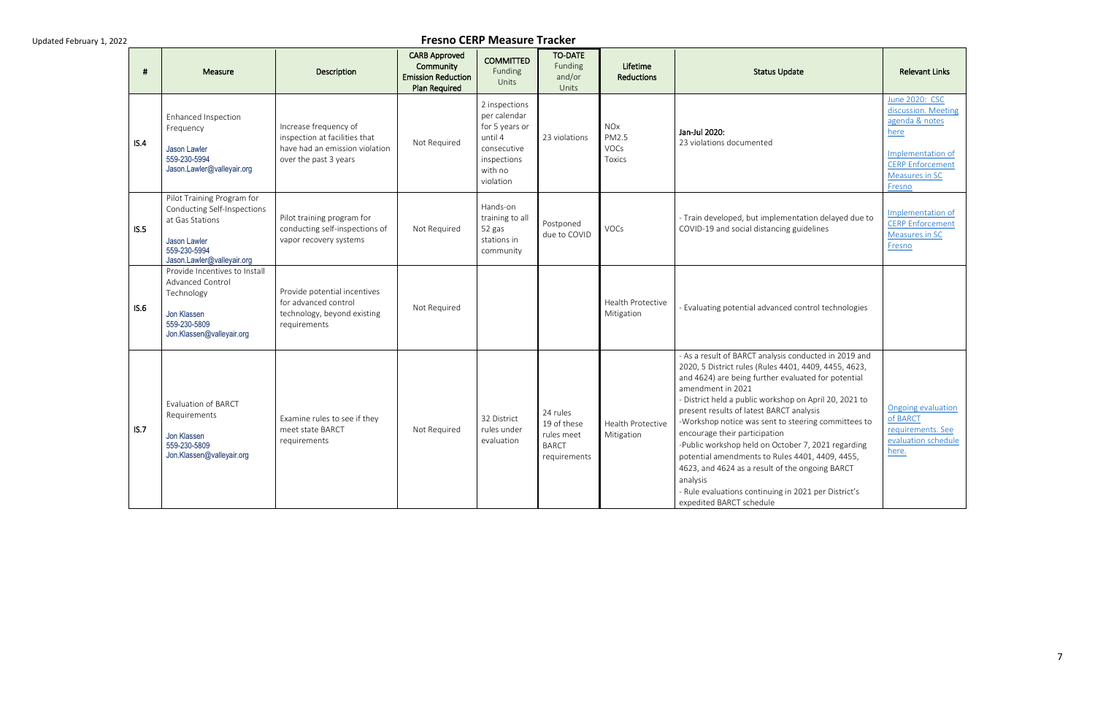| -#   | <b>Measure</b>                                                                                                                             | Description                                                                                                       | <b>CARB Approved</b><br>Community<br><b>Emission Reduction</b><br><b>Plan Required</b> | <b>COMMITTED</b><br>Funding<br>Units                                                                             | <b>TO-DATE</b><br>Funding<br>and/or<br><b>Units</b>                   | Lifetime<br><b>Reductions</b>                                  | <b>Status Update</b>                                                                                                                                                                                                                                                                                                                                                                                                                                                                                                                                                                                                                                 | <b>Relevant Links</b>                                                                                                                       |
|------|--------------------------------------------------------------------------------------------------------------------------------------------|-------------------------------------------------------------------------------------------------------------------|----------------------------------------------------------------------------------------|------------------------------------------------------------------------------------------------------------------|-----------------------------------------------------------------------|----------------------------------------------------------------|------------------------------------------------------------------------------------------------------------------------------------------------------------------------------------------------------------------------------------------------------------------------------------------------------------------------------------------------------------------------------------------------------------------------------------------------------------------------------------------------------------------------------------------------------------------------------------------------------------------------------------------------------|---------------------------------------------------------------------------------------------------------------------------------------------|
| IS.4 | Enhanced Inspection<br>Frequency<br>Jason Lawler<br>559-230-5994<br>Jason.Lawler@valleyair.org                                             | Increase frequency of<br>inspection at facilities that<br>have had an emission violation<br>over the past 3 years | Not Required                                                                           | 2 inspections<br>per calendar<br>for 5 years or<br>until 4<br>consecutive<br>inspections<br>with no<br>violation | 23 violations                                                         | <b>NO<sub>X</sub></b><br>PM2.5<br><b>VOCs</b><br><b>Toxics</b> | Jan-Jul 2020:<br>23 violations documented                                                                                                                                                                                                                                                                                                                                                                                                                                                                                                                                                                                                            | June 2020: CSC<br>discussion. Meeting<br>agenda & notes<br>here<br>Implementation of<br><b>CERP Enforcement</b><br>Measures in SC<br>Fresno |
| IS.5 | Pilot Training Program for<br>Conducting Self-Inspections<br>at Gas Stations<br>Jason Lawler<br>559-230-5994<br>Jason.Lawler@valleyair.org | Pilot training program for<br>conducting self-inspections of<br>vapor recovery systems                            | Not Required                                                                           | Hands-on<br>training to all<br>52 gas<br>stations in<br>community                                                | Postponed<br>due to COVID                                             | VOCs                                                           | - Train developed, but implementation delayed due to<br>COVID-19 and social distancing guidelines                                                                                                                                                                                                                                                                                                                                                                                                                                                                                                                                                    | Implementation of<br><b>CERP Enforcement</b><br>Measures in SC<br>Fresno                                                                    |
| IS.6 | Provide Incentives to Install<br>Advanced Control<br>Technology<br>Jon Klassen<br>559-230-5809<br>Jon.Klassen@valleyair.org                | Provide potential incentives<br>for advanced control<br>technology, beyond existing<br>requirements               | Not Required                                                                           |                                                                                                                  |                                                                       | Health Protective<br>Mitigation                                | - Evaluating potential advanced control technologies                                                                                                                                                                                                                                                                                                                                                                                                                                                                                                                                                                                                 |                                                                                                                                             |
| IS.7 | <b>Evaluation of BARCT</b><br>Requirements<br>Jon Klassen<br>559-230-5809<br>Jon.Klassen@valleyair.org                                     | Examine rules to see if they<br>meet state BARCT<br>requirements                                                  | Not Required                                                                           | 32 District<br>rules under<br>evaluation                                                                         | 24 rules<br>19 of these<br>rules meet<br><b>BARCT</b><br>requirements | <b>Health Protective</b><br>Mitigation                         | - As a result of BARCT analysis conducted in 2019 and<br>2020, 5 District rules (Rules 4401, 4409, 4455, 4623,<br>and 4624) are being further evaluated for potential<br>amendment in 2021<br>- District held a public workshop on April 20, 2021 to<br>present results of latest BARCT analysis<br>-Workshop notice was sent to steering committees to<br>encourage their participation<br>-Public workshop held on October 7, 2021 regarding<br>potential amendments to Rules 4401, 4409, 4455,<br>4623, and 4624 as a result of the ongoing BARCT<br>analysis<br>- Rule evaluations continuing in 2021 per District's<br>expedited BARCT schedule | Ongoing evaluation<br>of BARCT<br>requirements. See<br>evaluation schedule<br>here.                                                         |